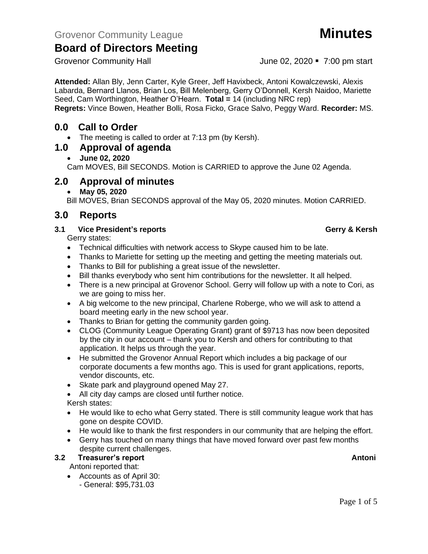**Attended:** Allan Bly, Jenn Carter, Kyle Greer, Jeff Havixbeck, Antoni Kowalczewski, Alexis Labarda, Bernard Llanos, Brian Los, Bill Melenberg, Gerry O'Donnell, Kersh Naidoo, Mariette Seed, Cam Worthington, Heather O'Hearn. **Total =** 14 (including NRC rep) **Regrets:** Vince Bowen, Heather Bolli, Rosa Ficko, Grace Salvo, Peggy Ward. **Recorder:** MS.

## **0.0 Call to Order**

• The meeting is called to order at 7:13 pm (by Kersh).

## **1.0 Approval of agenda**

## • **June 02, 2020**

Cam MOVES, Bill SECONDS. Motion is CARRIED to approve the June 02 Agenda.

# **2.0 Approval of minutes**

## • **May 05, 2020**

Bill MOVES, Brian SECONDS approval of the May 05, 2020 minutes. Motion CARRIED.

# **3.0 Reports**

## **3.1 Vice President's reports Gerry & Kersh**

Gerry states:

- Technical difficulties with network access to Skype caused him to be late.
- Thanks to Mariette for setting up the meeting and getting the meeting materials out.
- Thanks to Bill for publishing a great issue of the newsletter.
- Bill thanks everybody who sent him contributions for the newsletter. It all helped.
- There is a new principal at Grovenor School. Gerry will follow up with a note to Cori, as we are going to miss her.
- A big welcome to the new principal, Charlene Roberge, who we will ask to attend a board meeting early in the new school year.
- Thanks to Brian for getting the community garden going.
- CLOG (Community League Operating Grant) grant of \$9713 has now been deposited by the city in our account – thank you to Kersh and others for contributing to that application. It helps us through the year.
- He submitted the Grovenor Annual Report which includes a big package of our corporate documents a few months ago. This is used for grant applications, reports, vendor discounts, etc.
- Skate park and playground opened May 27.
- All city day camps are closed until further notice.
- Kersh states:
- He would like to echo what Gerry stated. There is still community league work that has gone on despite COVID.
- He would like to thank the first responders in our community that are helping the effort.
- Gerry has touched on many things that have moved forward over past few months despite current challenges.

## **3.2 Treasurer's report Antonic Stream Antonic Stream Antonic Stream Antonic Stream Antonic Antonic Antonic Antoni**

Antoni reported that:

- Accounts as of April 30:
	- General: \$95,731.03

Grovenor Community Hall **Grovenor** Community Hall **June 02, 2020** • 7:00 pm start



Page 1 of 5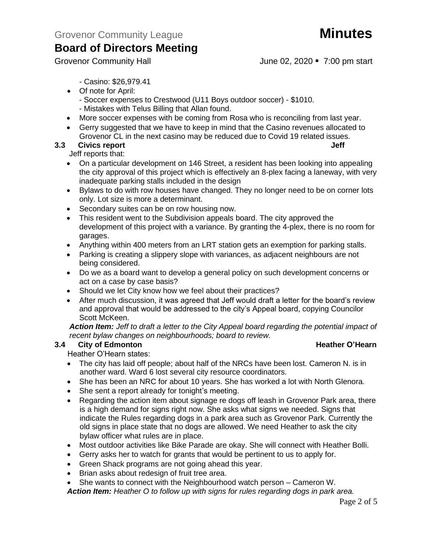Grovenor Community Hall **Grovenor Community Hall** June 02, 2020 • 7:00 pm start

- Casino: \$26,979.41
- Of note for April:
	- Soccer expenses to Crestwood (U11 Boys outdoor soccer) \$1010. - Mistakes with Telus Billing that Allan found.
- More soccer expenses with be coming from Rosa who is reconciling from last year.
- Gerry suggested that we have to keep in mind that the Casino revenues allocated to Grovenor CL in the next casino may be reduced due to Covid 19 related issues.

## **3.3** Civics report **Jeff**

Jeff reports that:

- On a particular development on 146 Street, a resident has been looking into appealing the city approval of this project which is effectively an 8-plex facing a laneway, with very inadequate parking stalls included in the design
- Bylaws to do with row houses have changed. They no longer need to be on corner lots only. Lot size is more a determinant.
- Secondary suites can be on row housing now.
- This resident went to the Subdivision appeals board. The city approved the development of this project with a variance. By granting the 4-plex, there is no room for garages.
- Anything within 400 meters from an LRT station gets an exemption for parking stalls.
- Parking is creating a slippery slope with variances, as adjacent neighbours are not being considered.
- Do we as a board want to develop a general policy on such development concerns or act on a case by case basis?
- Should we let City know how we feel about their practices?
- After much discussion, it was agreed that Jeff would draft a letter for the board's review and approval that would be addressed to the city's Appeal board, copying Councilor Scott McKeen.

*Action Item: Jeff to draft a letter to the City Appeal board regarding the potential impact of recent bylaw changes on neighbourhoods; board to review.*

## **3.4 City of Edmonton Heather O'Hearn**

Heather O'Hearn states:

- The city has laid off people; about half of the NRCs have been lost. Cameron N. is in another ward. Ward 6 lost several city resource coordinators.
- She has been an NRC for about 10 years. She has worked a lot with North Glenora.
- She sent a report already for tonight's meeting.
- Regarding the action item about signage re dogs off leash in Grovenor Park area, there is a high demand for signs right now. She asks what signs we needed. Signs that indicate the Rules regarding dogs in a park area such as Grovenor Park. Currently the old signs in place state that no dogs are allowed. We need Heather to ask the city bylaw officer what rules are in place.
- Most outdoor activities like Bike Parade are okay. She will connect with Heather Bolli.
- Gerry asks her to watch for grants that would be pertinent to us to apply for.
- Green Shack programs are not going ahead this year.
- Brian asks about redesign of fruit tree area.
- She wants to connect with the Neighbourhood watch person Cameron W.

*Action Item: Heather O to follow up with signs for rules regarding dogs in park area.*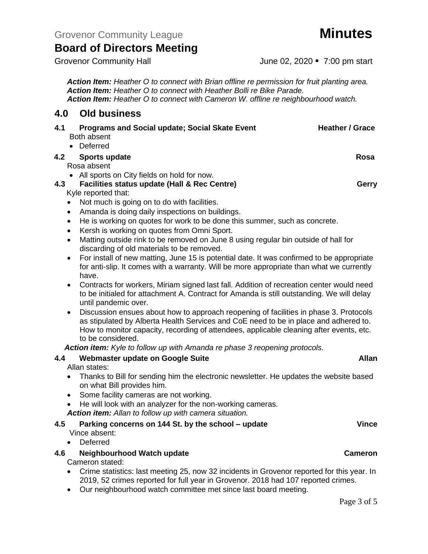*Action Item: Heather O to connect with Brian offline re permission for fruit planting area. Action Item: Heather O to connect with Heather Bolli re Bike Parade. Action Item: Heather O to connect with Cameron W. offline re neighbourhood watch.*

## **4.0 Old business**

| 4.1 | <b>Programs and Social update; Social Skate Event</b><br>Both absent                                                                                                                                                                                                                                                                                                                                                                                                                                                                                                                                                                                                                                                                                                                                                                                                                                                                                                                                                                                                                                                                                                                               | <b>Heather / Grace</b> |
|-----|----------------------------------------------------------------------------------------------------------------------------------------------------------------------------------------------------------------------------------------------------------------------------------------------------------------------------------------------------------------------------------------------------------------------------------------------------------------------------------------------------------------------------------------------------------------------------------------------------------------------------------------------------------------------------------------------------------------------------------------------------------------------------------------------------------------------------------------------------------------------------------------------------------------------------------------------------------------------------------------------------------------------------------------------------------------------------------------------------------------------------------------------------------------------------------------------------|------------------------|
| 4.2 | Deferred<br>$\bullet$<br><b>Sports update</b><br>Rosa absent                                                                                                                                                                                                                                                                                                                                                                                                                                                                                                                                                                                                                                                                                                                                                                                                                                                                                                                                                                                                                                                                                                                                       | Rosa                   |
| 4.3 | • All sports on City fields on hold for now.<br>Facilities status update (Hall & Rec Centre)<br>Kyle reported that:<br>Not much is going on to do with facilities.<br>$\bullet$<br>Amanda is doing daily inspections on buildings.<br>$\bullet$<br>He is working on quotes for work to be done this summer, such as concrete.<br>$\bullet$<br>Kersh is working on quotes from Omni Sport.<br>$\bullet$<br>Matting outside rink to be removed on June 8 using regular bin outside of hall for<br>$\bullet$<br>discarding of old materials to be removed.<br>For install of new matting, June 15 is potential date. It was confirmed to be appropriate<br>$\bullet$<br>for anti-slip. It comes with a warranty. Will be more appropriate than what we currently<br>have.<br>Contracts for workers, Miriam signed last fall. Addition of recreation center would need<br>$\bullet$<br>to be initialed for attachment A. Contract for Amanda is still outstanding. We will delay<br>until pandemic over.<br>Discussion ensues about how to approach reopening of facilities in phase 3. Protocols<br>$\bullet$<br>as stipulated by Alberta Health Services and CoE need to be in place and adhered to. | Gerry                  |
|     | How to monitor capacity, recording of attendees, applicable cleaning after events, etc.<br>to be considered.                                                                                                                                                                                                                                                                                                                                                                                                                                                                                                                                                                                                                                                                                                                                                                                                                                                                                                                                                                                                                                                                                       |                        |
| 4.4 | Action item: Kyle to follow up with Amanda re phase 3 reopening protocols.<br>Webmaster update on Google Suite<br>Allan states:<br>Thanks to Bill for sending him the electronic newsletter. He updates the website based<br>$\bullet$<br>on what Bill provides him.<br>Some facility cameras are not working.<br>$\bullet$<br>He will look with an analyzer for the non-working cameras.<br>$\bullet$<br>Action item: Allan to follow up with camera situation.                                                                                                                                                                                                                                                                                                                                                                                                                                                                                                                                                                                                                                                                                                                                   | <b>Allan</b>           |
| 4.5 | Parking concerns on 144 St. by the school - update<br>Vince absent:<br>Deferred                                                                                                                                                                                                                                                                                                                                                                                                                                                                                                                                                                                                                                                                                                                                                                                                                                                                                                                                                                                                                                                                                                                    | <b>Vince</b>           |
| 4.6 | Neighbourhood Watch update<br>Cameron stated:                                                                                                                                                                                                                                                                                                                                                                                                                                                                                                                                                                                                                                                                                                                                                                                                                                                                                                                                                                                                                                                                                                                                                      | <b>Cameron</b>         |

- Crime statistics: last meeting 25, now 32 incidents in Grovenor reported for this year. In 2019, 52 crimes reported for full year in Grovenor. 2018 had 107 reported crimes.
- Our neighbourhood watch committee met since last board meeting.

Page 3 of 5

Grovenor Community Hall **Grovenor** Community Hall **June 02, 2020** • 7:00 pm start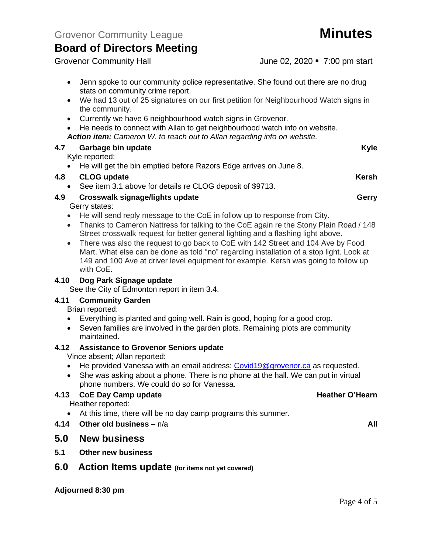Grovenor Community Hall **Grovenor** Community Hall **June 02, 2020** • 7:00 pm start

- Jenn spoke to our community police representative. She found out there are no drug stats on community crime report.
- We had 13 out of 25 signatures on our first petition for Neighbourhood Watch signs in the community.
- Currently we have 6 neighbourhood watch signs in Grovenor.
- He needs to connect with Allan to get neighbourhood watch info on website.
- *Action item: Cameron W. to reach out to Allan regarding info on website.*

## **4.7 Garbage bin update Kyle**

Kyle reported:

• He will get the bin emptied before Razors Edge arrives on June 8.

## **4.8 CLOG update Kersh**

• See item 3.1 above for details re CLOG deposit of \$9713.

## **4.9 Crosswalk signage/lights update Gerry**

Gerry states:

- He will send reply message to the CoE in follow up to response from City.
- Thanks to Cameron Nattress for talking to the CoE again re the Stony Plain Road / 148 Street crosswalk request for better general lighting and a flashing light above.
- There was also the request to go back to CoE with 142 Street and 104 Ave by Food Mart. What else can be done as told "no" regarding installation of a stop light. Look at 149 and 100 Ave at driver level equipment for example. Kersh was going to follow up with CoE.

## **4.10 Dog Park Signage update**

See the City of Edmonton report in item 3.4.

## **4.11 Community Garden**

Brian reported:

- Everything is planted and going well. Rain is good, hoping for a good crop.
- Seven families are involved in the garden plots. Remaining plots are community maintained.

### **4.12 Assistance to Grovenor Seniors update**

Vince absent; Allan reported:

- He provided Vanessa with an email address: [Covid19@grovenor.ca](mailto:Covid19@grovenor.ca) as requested.
- She was asking about a phone. There is no phone at the hall. We can put in virtual phone numbers. We could do so for Vanessa.

## **4.13 CoE Day Camp update Heather O'Hearn**

Heather reported:

- At this time, there will be no day camp programs this summer.
- **4.14 Other old business** n/a **All**

## **5.0 New business**

**5.1 Other new business**

## **6.0 Action Items update (for items not yet covered)**